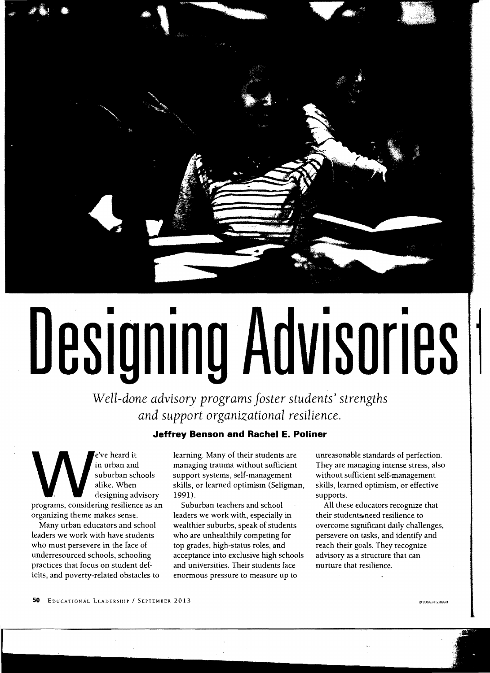

# Designing Advisories

*Well-done advisory programs Joster students' strengths and support organizational resilience.* 

### **Jeffrey Benson and Rachel E. Poliner**

e've heard it in urban and suburban schools alike. When designing advisory programs, considering resilience as an organizing theme makes sense.

Many urban educators and school leaders we work with have students who must persevere in the face of underresourced schools, schooling practices that focus on student deficits, and poverty-related obstacles to learning. Many of their students are managing trauma without sufficient support systems, self-management skills, or learned optimism (Seligman, 1991).

Suburban teachers and school leaders we work with, especially in wealthier suburbs, speak of students who are unhealthily competing for top grades, high-status roles, and acceptance into exclusive high schools and universities. Their students face enormous pressure to measure up to

unreasonable standards of perfection. They are managing intense stress, also without sufficient self-management skills, learned optimism, or effective supports.

All these educators recognize that their students-need resilience to overcome Significant daily challenges, persevere on tasks, and identify and reach their goals. They recognize advisory as a structure that can nurture that resilience.

50 EDUCATIONAL LEADERSHIP / SEPTEMBER 2013

@SUSIE FIT2HUGH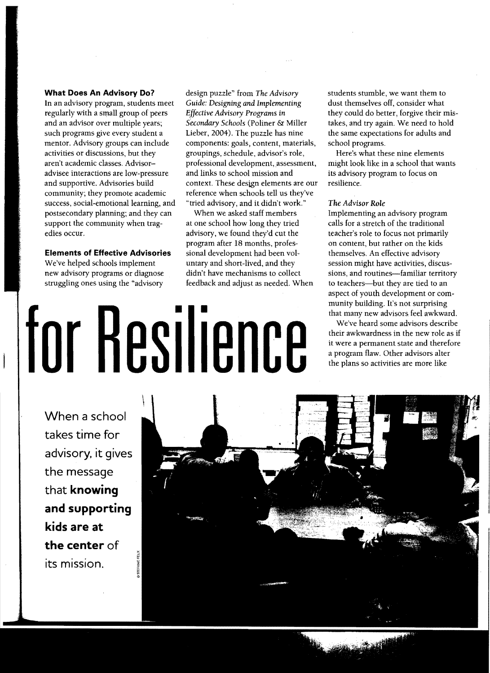### **What Does An Advisory Do?**

In an advisory program, students meet regularly with a small group of peers and an advisor over multiple years; such programs give every student a mentor. Advisory groups can include activities or discussions, but they aren't academic classes. Advisoradvisee interactions are low-pressure and supportive. Advisories build community; they promote academic success, social-emotional learning, and postsecondary planning; and they can support the community when tragedies occur.

### **Elements of Effective Advisories**

We've helped schools implement new advisory programs or diagnose struggling ones using the "advisory

design puzzle" from *The Advisory Guide: Designing and Implementing Effective Advisory Programs* in *Secondary Schools* (Poliner & Miller Lieber, 2004). The puzzle has nine components: goals, content, materials, groupings, schedule, advisor's role, professional development, assessment, and links to school mission and context. These design elements are our reference when schools tell us they've "tried advisory, and it didn't work."

When we asked staff members at one school how long they tried advisory, we found they'd cut the program after 18 months, professional development had been voluntary and short-lived, and they didn't have mechanisms to collect feedback and adjust as needed. When

•

dust themselves off, consider what they could do better, forgive their mistakes, and try again. We need to hold the same expectations for adults and school programs.

students stumble, we want them to

Here's what these nine elements might look like in a school that wants its advisory program to focus on resilience.

### *The Advisor Role*

Implementing an advisory program calls for a stretch of the traditional teacher's role to focus not primarily on content, but rather on the kids themselves. An effective advisory session might have activities, discussions, and routines--familiar territory to teachers--but they are tied to an aspect of youth development or community building. It's not surprising that many new advisors feel awkward.

We've heard some advisors describe their awkwardness in the new role as if it were a permanent state and therefore a program flaw. Other advisors alter the plans so activities are more like

**When a school takes time for advisory, it gives the message that knowing and supporting kids are at the center of its mission.** 

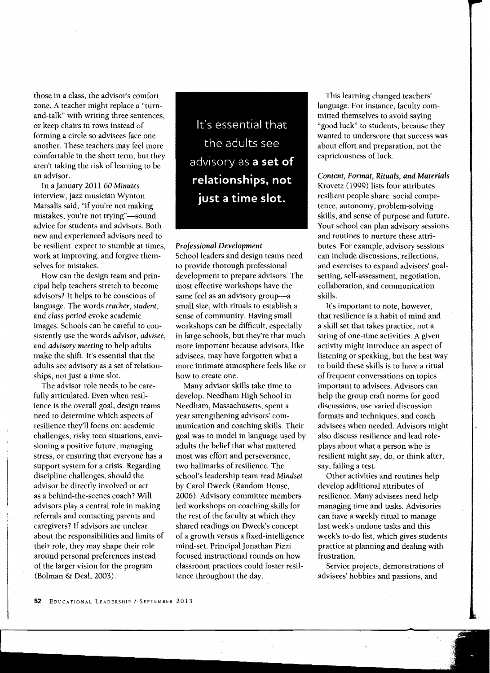those in a class, the advisor's comfort zone. A teacher might replace a "turnand-talk" with writing three sentences, or keep chairs in rows instead of forming a circle so advisees face one another. These teachers may feel more comfortable in the short term, but they aren't taking the risk of learning to be an advisor.

In a January 2011 60 *Minutes*  interview, jazz musician Wynton Marsalis said, "if you're not making mistakes, you're not trying"-sound advice for students and advisors. Both new and experienced advisors need to be resilient, expect to stumble at times, work at improving, and forgive themselves for mistakes.

How can the design team and principal help teachers stretch to become advisors? It helps to be conscious of language. The words *teacher, student,*  and *class period* evoke academic images. Schools can be careful to consistently use the words advisor, *advisee,*  and *advisory meeting* to help adults make the shift. It's essential that the adults see advisory as a set of relationships, not just a time slot.

The advisor role needs to be carefully articulated. Even when resilience is the overall goal, design teams need to determine which aspects of resilience they'll focus on: academic challenges, risky teen situations, envisioning a positive future, managing stress, or ensuring that everyone has a support system for a crisis. Regarding discipline challenges, should the advisor be directly involved or act as a behind-the-scenes coach? Will advisors play a central role in making referrals and contacting parents and caregivers? If advisors are unclear about the responsibilities and limits of their role, they may shape their role around personal preferences instead of the larger vision for the program (Bolman &: Deal, 2003).

It's essential that the adults see advisory as **a set of relationships, not just a time slot.** 

### *Professional Development*

School leaders and design teams need to provide thorough professional development to prepare advisors. The most effective workshops have the same feel as an advisory group-a small size, with rituals to establish a sense of community. Having small workshops can be difficult, especially in large schools, but they're that much more important because advisors, like advisees, may have forgotten what a more intimate atmosphere feels like or how to create one.

Many advisor skills take time to develop. Needham High School in Needham, Massachusetts, spent a year strengthening advisors' communication and coaching skills. Their goal was to model in language used by adults the belief that what mattered most was effort and perseverance, two hallmarks of resilience. The school's leadership team read *Mindset*  by Carol Dweck (Random House, 2006). Advisory committee members led workshops on coaching skills for the rest of the faculty at which they shared readings on Dweck's concept of a growth versus a fixed-intelligence mind-set. Principal Jonathan Pizzi focused instructional rounds on how classroom practices could foster resilience throughout the day.

This learning changed teachers' language. For instance, faculty committed themselves to avoid saying "good luck" to students, because they wanted to underscore that success was about effort and preparation, not the capriciousness of luck.

### *Content, Fonnat, Rituals, and Materials*

Krovetz (1999) lists four attributes resilient people share: social competence, autonomy, problem-solving skills, and sense of purpose and future. Your school can plan advisory sessions and routines to nurture these attributes. For example, advisory sessions can include discussions, reflections, and exercises to expand advisees' goalsetting, self-assessment, negotiation, collaboration, and communication skills.

It's important to note, however, that resilience is a habit of mind and a skill set that takes practice, not a string of one-time activities. A given activity might introduce an aspect of listening or speaking, but the best way to build these skills is to have a ritual of frequent conversations on topics important to advisees. Advisors can help the group craft norms for good discussions, use varied discussion formats and techniques, and coach advisees when needed. Advisors might also discuss resilience and lead roleplays about what a person who is resilient might say, do, or think after, say, failing a test.

Other activities and routines help develop additional attributes of resilience. Many advisees need help managing time and tasks. Advisories can have a weekly ritual to manage last week's undone tasks and this week's to-do list, which gives students practice at planning and dealing with frustration.

Service projects, demonstrations of advisees' hobbies and passions, and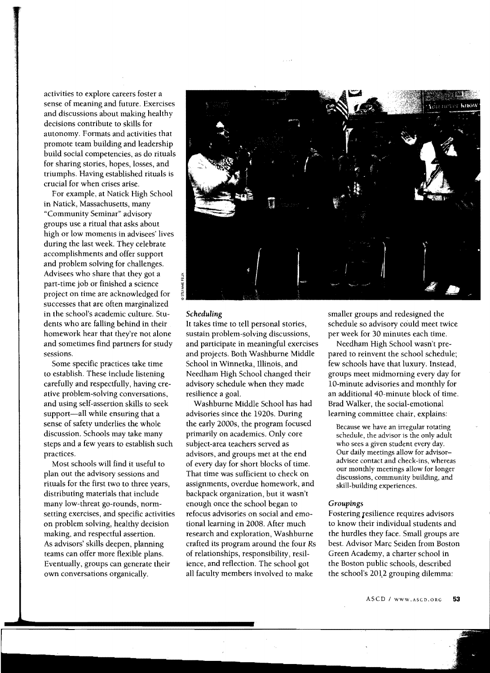activities to explore careers foster a sense of meaning and future. Exercises and discussions about making healthy decisions contribute to skills for autonomy. Formats and activities that promote team building and leadership build social competencies, as do rituals for sharing stories, hopes, losses, and triumphs. Having established rituals is crucial for when crises arise.

For example, at Natick High School in Natick, Massachusetts, many "Community Seminar" advisory groups use a ritual that asks about high or low moments in advisees' lives during the last week. They celebrate accomplishments and offer support and problem solving for challenges. Advisees who share that they got a part-time job or finished a science project on time are acknowledged for successes that are often marginalized in the school's academic culture. Students who are falling behind in their homework hear that they're not alone and sometimes find partners for study sessions.

Some specific practices take time to establish. These include listening carefully and respectfully, having creative problem-solving conversations, and using self-assertion skills to seek support-all while ensuring that a sense of safety underlies the whole discussion. Schools may take many steps and a few years to establish such practices.

Most schools will find it useful to plan out the advisory sessions and rituals for the first two to three years, distributing materials that include many low-threat go-rounds, normsetting exercises, and specific activities on problem solving, healthy decision making, and respectful assertion. As advisors' skills deepen, planning teams can offer more flexible plans. Eventually, groups can generate their own conversations organically.



### *Scheduling*

It takes time to tell personal stories, sustain problem-solving discussions, and participate in meaningful exercises and projects. Both Washburne Middle School in Winnetka, Illinois, and Needham High School changed their advisory schedule when they made resilience a goal.

Washburne Middle School has had advisories since the 1920s. During the early 2000s, the program focused primarily on academics. Only core subject-area teachers served as advisors, and groups met at the end of every day for short blocks of time. That time was sufficient to check on assignments, overdue homework, and backpack organization, but it wasn't enough once the school began to refocus advisories on social and emotional learning in 2008. After much research and exploration, Washburne crafted its program around the four Rs of relationships, responsibility, resilience, and reflection. The school got all faculty members involved to make

smaller groups and redesigned the schedule so advisory could meet twice per week for 30 minutes each time.

Needham High School wasn't prepared to reinvent the school schedule; few schools have that luxury. Instead, groups meet midmorning every day for 10-minute advisories and monthly for an additional 40-minute block of time. Brad Walker, the social-emotional learning committee chair, explains:

Because we have an irregular rotating schedule, the advisor is the only adult who sees a given student every day. Our daily meetings allow for advisoradvisee contact and check-ins, whereas our monthly meetings allow for longer discussions, community building, and skill-building experiences.

### *Groupings*

Fostering resilience requires advisors to know their individual students and the hurdles they face. Small groups are best. Advisor Marc Seiden from Boston Green Academy, a charter school in the Boston public schools, described the school's 2012 grouping dilemma: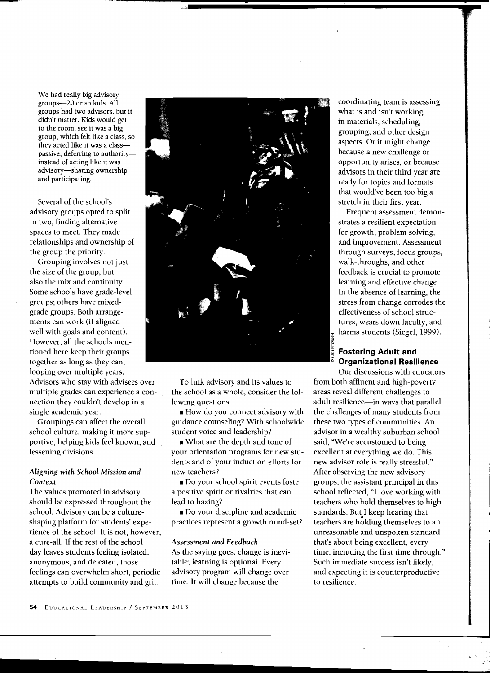We had really big advisory groups-20 or so kids. All didn't matter. Kids would get<br>to the room, see it was a big passive, deferring to authority

However, all the schools mentogether as long as they can, **Organizational Resilience**  looping over multiple years.

Advisors who stay with advisees over multiple grades can experience a con nection they couldn't develop in a single academic year.

Groupings can affect the overall school culture, making it more supportive, helping kids feel known, and lessening divisions.

### *Aligning with School Mission and Context*

The values promoted in advisory should be expressed throughout the school. Advisory can be a cultureshaping platform for students' experience of the school. It is not, however, a cure-all. If the rest of the school day leaves students feeling isolated, anonymous, and defeated, those feelings can overwhelm short, periodic attempts to build community and grit.



**•** 

To link advisory and its values to the school as a whole, consider the following questions:

• How do you connect advisory with guidance counseling? With schoolwide student voice and leadership?

• What are the depth and tone of your orientation programs for new students and of your induction efforts for new teachers?

• Do your school spirit events foster a positive spirit or rivalries that can lead to hazing?

• Do your discipline and academic practices represent a growth mind-set?

### *Assessment and Feedback*

As the saying goes, change is inevitable; learning is optional. Every advisory program will change over time. It will change because the

 coordinating team is assessing in materials, scheduling, because a new challenge or ready for topics and formats that would've been too big a

Our discussions with educators from both affluent and high-poverty areas reveal different challenges to adult resilience-in ways that parallel the challenges of many students from these two types of communities. An advisor in a wealthy suburban school said, "We're accustomed to being excellent at everything we do. This new advisor role is really stressful." After observing the new advisory groups, the assistant principal in this school reflected, "I love working with teachers who hold themselves to high standards. But I keep hearing that<br>teachers are holding themselves to an unreasonable and unspoken standard that's about being excellent, every time, including the first time through." Such immediate success isn't likely, and expecting it is counterproductive to resilience. .

54 EDUCATIONAL LEADERSHIP / SEPTEMBER 2013